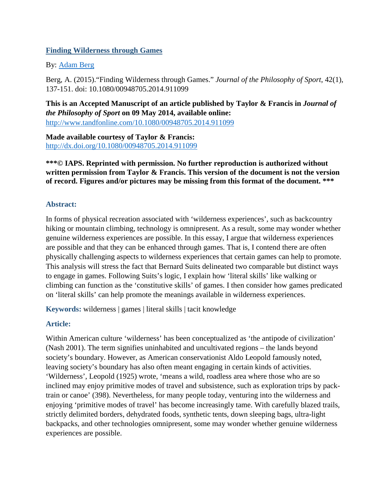## **Finding Wilderness through Games**

### By: [Adam Berg](http://libres.uncg.edu/ir/uncg/clist.aspx?id=14297)

Berg, A. (2015)."Finding Wilderness through Games." *Journal of the Philosophy of Sport*, 42(1), 137-151. doi: 10.1080/00948705.2014.911099

**This is an Accepted Manuscript of an article published by Taylor & Francis in** *Journal of the Philosophy of Sport* **on 09 May 2014, available online:**  <http://www.tandfonline.com/10.1080/00948705.2014.911099>

**Made available courtesy of Taylor & Francis:**  <http://dx.doi.org/10.1080/00948705.2014.911099>

**\*\*\*© IAPS. Reprinted with permission. No further reproduction is authorized without written permission from Taylor & Francis. This version of the document is not the version of record. Figures and/or pictures may be missing from this format of the document. \*\*\***

#### **Abstract:**

In forms of physical recreation associated with 'wilderness experiences', such as backcountry hiking or mountain climbing, technology is omnipresent. As a result, some may wonder whether genuine wilderness experiences are possible. In this essay, I argue that wilderness experiences are possible and that they can be enhanced through games. That is, I contend there are often physically challenging aspects to wilderness experiences that certain games can help to promote. This analysis will stress the fact that Bernard Suits delineated two comparable but distinct ways to engage in games. Following Suits's logic, I explain how 'literal skills' like walking or climbing can function as the 'constitutive skills' of games. I then consider how games predicated on 'literal skills' can help promote the meanings available in wilderness experiences.

**Keywords:** wilderness | games | literal skills | tacit knowledge

### **Article:**

Within American culture 'wilderness' has been conceptualized as 'the antipode of civilization' (Nash 2001). The term signifies uninhabited and uncultivated regions – the lands beyond society's boundary. However, as American conservationist Aldo Leopold famously noted, leaving society's boundary has also often meant engaging in certain kinds of activities. 'Wilderness', Leopold (1925) wrote, 'means a wild, roadless area where those who are so inclined may enjoy primitive modes of travel and subsistence, such as exploration trips by packtrain or canoe' (398). Nevertheless, for many people today, venturing into the wilderness and enjoying 'primitive modes of travel' has become increasingly tame. With carefully blazed trails, strictly delimited borders, dehydrated foods, synthetic tents, down sleeping bags, ultra-light backpacks, and other technologies omnipresent, some may wonder whether genuine wilderness experiences are possible.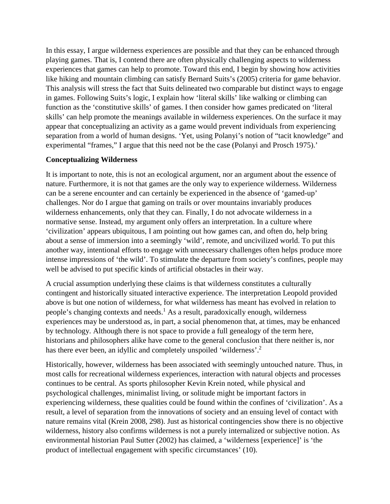In this essay, I argue wilderness experiences are possible and that they can be enhanced through playing games. That is, I contend there are often physically challenging aspects to wilderness experiences that games can help to promote. Toward this end, I begin by showing how activities like hiking and mountain climbing can satisfy Bernard Suits's (2005) criteria for game behavior. This analysis will stress the fact that Suits delineated two comparable but distinct ways to engage in games. Following Suits's logic, I explain how 'literal skills' like walking or climbing can function as the 'constitutive skills' of games. I then consider how games predicated on 'literal skills' can help promote the meanings available in wilderness experiences. On the surface it may appear that conceptualizing an activity as a game would prevent individuals from experiencing separation from a world of human designs. 'Yet, using Polanyi's notion of "tacit knowledge" and experimental "frames," I argue that this need not be the case (Polanyi and Prosch 1975).'

### **Conceptualizing Wilderness**

It is important to note, this is not an ecological argument, nor an argument about the essence of nature. Furthermore, it is not that games are the only way to experience wilderness. Wilderness can be a serene encounter and can certainly be experienced in the absence of 'gamed-up' challenges. Nor do I argue that gaming on trails or over mountains invariably produces wilderness enhancements, only that they can. Finally, I do not advocate wilderness in a normative sense. Instead, my argument only offers an interpretation. In a culture where 'civilization' appears ubiquitous, I am pointing out how games can, and often do, help bring about a sense of immersion into a seemingly 'wild', remote, and uncivilized world. To put this another way, intentional efforts to engage with unnecessary challenges often helps produce more intense impressions of 'the wild'. To stimulate the departure from society's confines, people may well be advised to put specific kinds of artificial obstacles in their way.

A crucial assumption underlying these claims is that wilderness constitutes a culturally contingent and historically situated interactive experience. The interpretation Leopold provided above is but one notion of wilderness, for what wilderness has meant has evolved in relation to people's changing contexts and needs.<sup>1</sup> As a result, paradoxically enough, wilderness experiences may be understood as, in part, a social phenomenon that, at times, may be enhanced by technology. Although there is not space to provide a full genealogy of the term here, historians and philosophers alike have come to the general conclusion that there neither is, nor has there ever been, an idyllic and completely unspoiled 'wilderness'.<sup>2</sup>

Historically, however, wilderness has been associated with seemingly untouched nature. Thus, in most calls for recreational wilderness experiences, interaction with natural objects and processes continues to be central. As sports philosopher Kevin Krein noted, while physical and psychological challenges, minimalist living, or solitude might be important factors in experiencing wilderness, these qualities could be found within the confines of 'civilization'. As a result, a level of separation from the innovations of society and an ensuing level of contact with nature remains vital (Krein 2008, 298). Just as historical contingencies show there is no objective wilderness, history also confirms wilderness is not a purely internalized or subjective notion. As environmental historian Paul Sutter (2002) has claimed, a 'wilderness [experience]' is 'the product of intellectual engagement with specific circumstances' (10).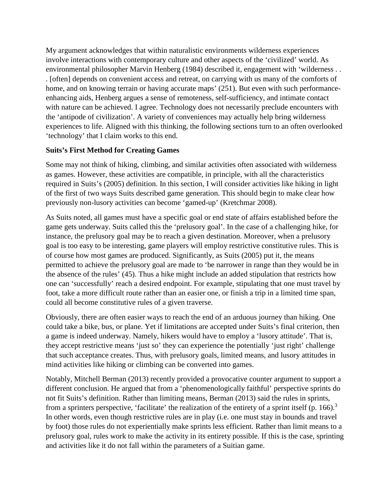My argument acknowledges that within naturalistic environments wilderness experiences involve interactions with contemporary culture and other aspects of the 'civilized' world. As environmental philosopher Marvin Henberg (1984) described it, engagement with 'wilderness . . . [often] depends on convenient access and retreat, on carrying with us many of the comforts of home, and on knowing terrain or having accurate maps' (251). But even with such performanceenhancing aids, Henberg argues a sense of remoteness, self-sufficiency, and intimate contact with nature can be achieved. I agree. Technology does not necessarily preclude encounters with the 'antipode of civilization'. A variety of conveniences may actually help bring wilderness experiences to life. Aligned with this thinking, the following sections turn to an often overlooked 'technology' that I claim works to this end.

### **Suits's First Method for Creating Games**

Some may not think of hiking, climbing, and similar activities often associated with wilderness as games. However, these activities are compatible, in principle, with all the characteristics required in Suits's (2005) definition. In this section, I will consider activities like hiking in light of the first of two ways Suits described game generation. This should begin to make clear how previously non-lusory activities can become 'gamed-up' (Kretchmar 2008).

As Suits noted, all games must have a specific goal or end state of affairs established before the game gets underway. Suits called this the 'prelusory goal'. In the case of a challenging hike, for instance, the prelusory goal may be to reach a given destination. Moreover, when a prelusory goal is too easy to be interesting, game players will employ restrictive constitutive rules. This is of course how most games are produced. Significantly, as Suits (2005) put it, the means permitted to achieve the prelusory goal are made to 'be narrower in range than they would be in the absence of the rules' (45). Thus a hike might include an added stipulation that restricts how one can 'successfully' reach a desired endpoint. For example, stipulating that one must travel by foot, take a more difficult route rather than an easier one, or finish a trip in a limited time span, could all become constitutive rules of a given traverse.

Obviously, there are often easier ways to reach the end of an arduous journey than hiking. One could take a bike, bus, or plane. Yet if limitations are accepted under Suits's final criterion, then a game is indeed underway. Namely, hikers would have to employ a 'lusory attitude'. That is, they accept restrictive means 'just so' they can experience the potentially 'just right' challenge that such acceptance creates. Thus, with prelusory goals, limited means, and lusory attitudes in mind activities like hiking or climbing can be converted into games.

Notably, Mitchell Berman (2013) recently provided a provocative counter argument to support a different conclusion. He argued that from a 'phenomenologically faithful' perspective sprints do not fit Suits's definition. Rather than limiting means, Berman (2013) said the rules in sprints, from a sprinters perspective, 'facilitate' the realization of the entirety of a sprint itself (p. 166).<sup>3</sup> In other words, even though restrictive rules are in play (i.e. one must stay in bounds and travel by foot) those rules do not experientially make sprints less efficient. Rather than limit means to a prelusory goal, rules work to make the activity in its entirety possible. If this is the case, sprinting and activities like it do not fall within the parameters of a Suitian game.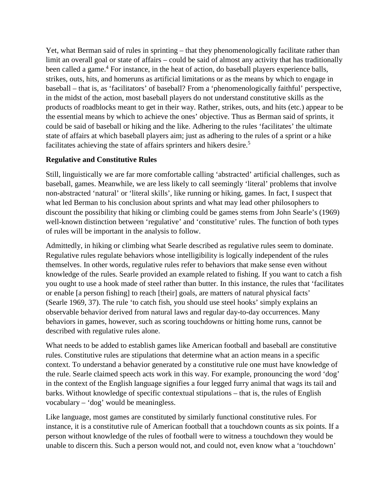Yet, what Berman said of rules in sprinting – that they phenomenologically facilitate rather than limit an overall goal or state of affairs – could be said of almost any activity that has traditionally been called a game.<sup>4</sup> For instance, in the heat of action, do baseball players experience balls, strikes, outs, hits, and homeruns as artificial limitations or as the means by which to engage in baseball – that is, as 'facilitators' of baseball? From a 'phenomenologically faithful' perspective, in the midst of the action, most baseball players do not understand constitutive skills as the products of roadblocks meant to get in their way. Rather, strikes, outs, and hits (etc.) appear to be the essential means by which to achieve the ones' objective. Thus as Berman said of sprints, it could be said of baseball or hiking and the like. Adhering to the rules 'facilitates' the ultimate state of affairs at which baseball players aim; just as adhering to the rules of a sprint or a hike facilitates achieving the state of affairs sprinters and hikers desire.<sup>5</sup>

### **Regulative and Constitutive Rules**

Still, linguistically we are far more comfortable calling 'abstracted' artificial challenges, such as baseball, games. Meanwhile, we are less likely to call seemingly 'literal' problems that involve non-abstracted 'natural' or 'literal skills', like running or hiking, games. In fact, I suspect that what led Berman to his conclusion about sprints and what may lead other philosophers to discount the possibility that hiking or climbing could be games stems from John Searle's (1969) well-known distinction between 'regulative' and 'constitutive' rules. The function of both types of rules will be important in the analysis to follow.

Admittedly, in hiking or climbing what Searle described as regulative rules seem to dominate. Regulative rules regulate behaviors whose intelligibility is logically independent of the rules themselves. In other words, regulative rules refer to behaviors that make sense even without knowledge of the rules. Searle provided an example related to fishing. If you want to catch a fish you ought to use a hook made of steel rather than butter. In this instance, the rules that 'facilitates or enable [a person fishing] to reach [their] goals, are matters of natural physical facts' (Searle 1969, 37). The rule 'to catch fish, you should use steel hooks' simply explains an observable behavior derived from natural laws and regular day-to-day occurrences. Many behaviors in games, however, such as scoring touchdowns or hitting home runs, cannot be described with regulative rules alone.

What needs to be added to establish games like American football and baseball are constitutive rules. Constitutive rules are stipulations that determine what an action means in a specific context. To understand a behavior generated by a constitutive rule one must have knowledge of the rule. Searle claimed speech acts work in this way. For example, pronouncing the word 'dog' in the context of the English language signifies a four legged furry animal that wags its tail and barks. Without knowledge of specific contextual stipulations – that is, the rules of English vocabulary – 'dog' would be meaningless.

Like language, most games are constituted by similarly functional constitutive rules. For instance, it is a constitutive rule of American football that a touchdown counts as six points. If a person without knowledge of the rules of football were to witness a touchdown they would be unable to discern this. Such a person would not, and could not, even know what a 'touchdown'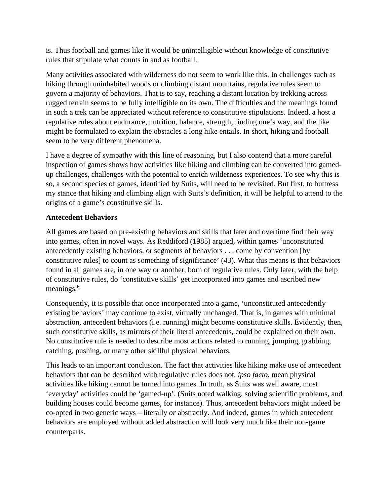is. Thus football and games like it would be unintelligible without knowledge of constitutive rules that stipulate what counts in and as football.

Many activities associated with wilderness do not seem to work like this. In challenges such as hiking through uninhabited woods or climbing distant mountains, regulative rules seem to govern a majority of behaviors. That is to say, reaching a distant location by trekking across rugged terrain seems to be fully intelligible on its own. The difficulties and the meanings found in such a trek can be appreciated without reference to constitutive stipulations. Indeed, a host a regulative rules about endurance, nutrition, balance, strength, finding one's way, and the like might be formulated to explain the obstacles a long hike entails. In short, hiking and football seem to be very different phenomena.

I have a degree of sympathy with this line of reasoning, but I also contend that a more careful inspection of games shows how activities like hiking and climbing can be converted into gamedup challenges, challenges with the potential to enrich wilderness experiences. To see why this is so, a second species of games, identified by Suits, will need to be revisited. But first, to buttress my stance that hiking and climbing align with Suits's definition, it will be helpful to attend to the origins of a game's constitutive skills.

## **Antecedent Behaviors**

All games are based on pre-existing behaviors and skills that later and overtime find their way into games, often in novel ways. As Reddiford (1985) argued, within games 'unconstituted antecedently existing behaviors, or segments of behaviors . . . come by convention [by constitutive rules] to count as something of significance' (43). What this means is that behaviors found in all games are, in one way or another, born of regulative rules. Only later, with the help of constitutive rules, do 'constitutive skills' get incorporated into games and ascribed new meanings.<sup>6</sup>

Consequently, it is possible that once incorporated into a game, 'unconstituted antecedently existing behaviors' may continue to exist, virtually unchanged. That is, in games with minimal abstraction, antecedent behaviors (i.e. running) might become constitutive skills. Evidently, then, such constitutive skills, as mirrors of their literal antecedents, could be explained on their own. No constitutive rule is needed to describe most actions related to running, jumping, grabbing, catching, pushing, or many other skillful physical behaviors.

This leads to an important conclusion. The fact that activities like hiking make use of antecedent behaviors that can be described with regulative rules does not, *ipso facto*, mean physical activities like hiking cannot be turned into games. In truth, as Suits was well aware, most 'everyday' activities could be 'gamed-up'. (Suits noted walking, solving scientific problems, and building houses could become games, for instance). Thus, antecedent behaviors might indeed be co-opted in two generic ways – literally *or* abstractly. And indeed, games in which antecedent behaviors are employed without added abstraction will look very much like their non-game counterparts.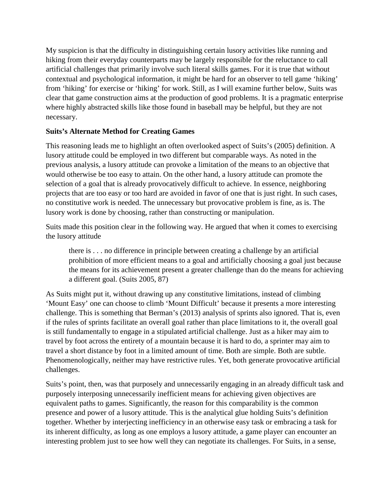My suspicion is that the difficulty in distinguishing certain lusory activities like running and hiking from their everyday counterparts may be largely responsible for the reluctance to call artificial challenges that primarily involve such literal skills games. For it is true that without contextual and psychological information, it might be hard for an observer to tell game 'hiking' from 'hiking' for exercise or 'hiking' for work. Still, as I will examine further below, Suits was clear that game construction aims at the production of good problems. It is a pragmatic enterprise where highly abstracted skills like those found in baseball may be helpful, but they are not necessary.

# **Suits's Alternate Method for Creating Games**

This reasoning leads me to highlight an often overlooked aspect of Suits's (2005) definition. A lusory attitude could be employed in two different but comparable ways. As noted in the previous analysis, a lusory attitude can provoke a limitation of the means to an objective that would otherwise be too easy to attain. On the other hand, a lusory attitude can promote the selection of a goal that is already provocatively difficult to achieve. In essence, neighboring projects that are too easy or too hard are avoided in favor of one that is just right. In such cases, no constitutive work is needed. The unnecessary but provocative problem is fine, as is. The lusory work is done by choosing, rather than constructing or manipulation.

Suits made this position clear in the following way. He argued that when it comes to exercising the lusory attitude

there is . . . no difference in principle between creating a challenge by an artificial prohibition of more efficient means to a goal and artificially choosing a goal just because the means for its achievement present a greater challenge than do the means for achieving a different goal. (Suits 2005, 87)

As Suits might put it, without drawing up any constitutive limitations, instead of climbing 'Mount Easy' one can choose to climb 'Mount Difficult' because it presents a more interesting challenge. This is something that Berman's (2013) analysis of sprints also ignored. That is, even if the rules of sprints facilitate an overall goal rather than place limitations to it, the overall goal is still fundamentally to engage in a stipulated artificial challenge. Just as a hiker may aim to travel by foot across the entirety of a mountain because it is hard to do, a sprinter may aim to travel a short distance by foot in a limited amount of time. Both are simple. Both are subtle. Phenomenologically, neither may have restrictive rules. Yet, both generate provocative artificial challenges.

Suits's point, then, was that purposely and unnecessarily engaging in an already difficult task and purposely interposing unnecessarily inefficient means for achieving given objectives are equivalent paths to games. Significantly, the reason for this comparability is the common presence and power of a lusory attitude. This is the analytical glue holding Suits's definition together. Whether by interjecting inefficiency in an otherwise easy task or embracing a task for its inherent difficulty, as long as one employs a lusory attitude, a game player can encounter an interesting problem just to see how well they can negotiate its challenges. For Suits, in a sense,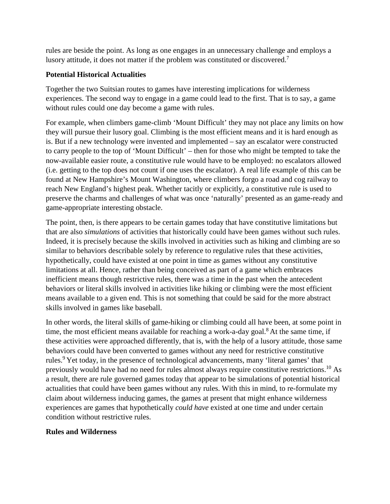rules are beside the point. As long as one engages in an unnecessary challenge and employs a lusory attitude, it does not matter if the problem was constituted or discovered.7

## **Potential Historical Actualities**

Together the two Suitsian routes to games have interesting implications for wilderness experiences. The second way to engage in a game could lead to the first. That is to say, a game without rules could one day become a game with rules.

For example, when climbers game-climb 'Mount Difficult' they may not place any limits on how they will pursue their lusory goal. Climbing is the most efficient means and it is hard enough as is. But if a new technology were invented and implemented – say an escalator were constructed to carry people to the top of 'Mount Difficult' – then for those who might be tempted to take the now-available easier route, a constitutive rule would have to be employed: no escalators allowed (i.e. getting to the top does not count if one uses the escalator). A real life example of this can be found at New Hampshire's Mount Washington, where climbers forgo a road and cog railway to reach New England's highest peak. Whether tacitly or explicitly, a constitutive rule is used to preserve the charms and challenges of what was once 'naturally' presented as an game-ready and game-appropriate interesting obstacle.

The point, then, is there appears to be certain games today that have constitutive limitations but that are also *simulations* of activities that historically could have been games without such rules. Indeed, it is precisely because the skills involved in activities such as hiking and climbing are so similar to behaviors describable solely by reference to regulative rules that these activities, hypothetically, could have existed at one point in time as games without any constitutive limitations at all. Hence, rather than being conceived as part of a game which embraces inefficient means though restrictive rules, there was a time in the past when the antecedent behaviors or literal skills involved in activities like hiking or climbing were the most efficient means available to a given end. This is not something that could be said for the more abstract skills involved in games like baseball.

In other words, the literal skills of game-hiking or climbing could all have been, at some point in time, the most efficient means available for reaching a work-a-day goal.<sup>8</sup> At the same time, if these activities were approached differently, that is, with the help of a lusory attitude, those same behaviors could have been converted to games without any need for restrictive constitutive rules.9 Yet today, in the presence of technological advancements, many 'literal games' that previously would have had no need for rules almost always require constitutive restrictions.<sup>10</sup> As a result, there are rule governed games today that appear to be simulations of potential historical actualities that could have been games without any rules. With this in mind, to re-formulate my claim about wilderness inducing games, the games at present that might enhance wilderness experiences are games that hypothetically *could have* existed at one time and under certain condition without restrictive rules.

### **Rules and Wilderness**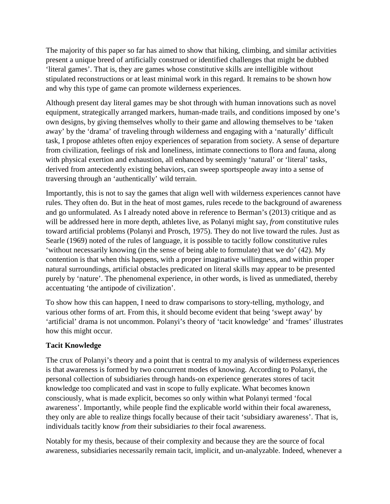The majority of this paper so far has aimed to show that hiking, climbing, and similar activities present a unique breed of artificially construed or identified challenges that might be dubbed 'literal games'. That is, they are games whose constitutive skills are intelligible without stipulated reconstructions or at least minimal work in this regard. It remains to be shown how and why this type of game can promote wilderness experiences.

Although present day literal games may be shot through with human innovations such as novel equipment, strategically arranged markers, human-made trails, and conditions imposed by one's own designs, by giving themselves wholly to their game and allowing themselves to be 'taken away' by the 'drama' of traveling through wilderness and engaging with a 'naturally' difficult task, I propose athletes often enjoy experiences of separation from society. A sense of departure from civilization, feelings of risk and loneliness, intimate connections to flora and fauna, along with physical exertion and exhaustion, all enhanced by seemingly 'natural' or 'literal' tasks, derived from antecedently existing behaviors, can sweep sportspeople away into a sense of traversing through an 'authentically' wild terrain.

Importantly, this is not to say the games that align well with wilderness experiences cannot have rules. They often do. But in the heat of most games, rules recede to the background of awareness and go unformulated. As I already noted above in reference to Berman's (2013) critique and as will be addressed here in more depth, athletes live, as Polanyi might say, *from* constitutive rules toward artificial problems (Polanyi and Prosch, 1975). They do not live toward the rules. Just as Searle (1969) noted of the rules of language, it is possible to tacitly follow constitutive rules 'without necessarily knowing (in the sense of being able to formulate) that we do' (42). My contention is that when this happens, with a proper imaginative willingness, and within proper natural surroundings, artificial obstacles predicated on literal skills may appear to be presented purely by 'nature'. The phenomenal experience, in other words, is lived as unmediated, thereby accentuating 'the antipode of civilization'.

To show how this can happen, I need to draw comparisons to story-telling, mythology, and various other forms of art. From this, it should become evident that being 'swept away' by 'artificial' drama is not uncommon. Polanyi's theory of 'tacit knowledge' and 'frames' illustrates how this might occur.

# **Tacit Knowledge**

The crux of Polanyi's theory and a point that is central to my analysis of wilderness experiences is that awareness is formed by two concurrent modes of knowing. According to Polanyi, the personal collection of subsidiaries through hands-on experience generates stores of tacit knowledge too complicated and vast in scope to fully explicate. What becomes known consciously, what is made explicit, becomes so only within what Polanyi termed 'focal awareness'. Importantly, while people find the explicable world within their focal awareness, they only are able to realize things focally because of their tacit 'subsidiary awareness'. That is, individuals tacitly know *from* their subsidiaries *to* their focal awareness.

Notably for my thesis, because of their complexity and because they are the source of focal awareness, subsidiaries necessarily remain tacit, implicit, and un-analyzable. Indeed, whenever a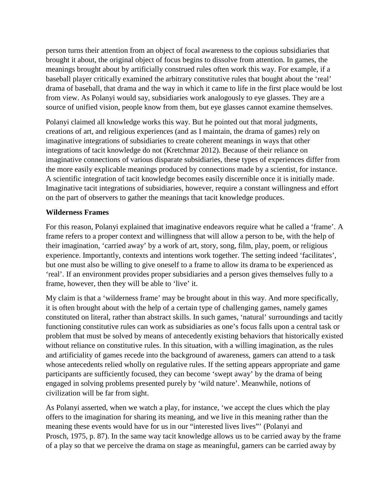person turns their attention from an object of focal awareness to the copious subsidiaries that brought it about, the original object of focus begins to dissolve from attention. In games, the meanings brought about by artificially construed rules often work this way. For example, if a baseball player critically examined the arbitrary constitutive rules that bought about the 'real' drama of baseball, that drama and the way in which it came to life in the first place would be lost from view. As Polanyi would say, subsidiaries work analogously to eye glasses. They are a source of unified vision, people know from them, but eye glasses cannot examine themselves.

Polanyi claimed all knowledge works this way. But he pointed out that moral judgments, creations of art, and religious experiences (and as I maintain, the drama of games) rely on imaginative integrations of subsidiaries to create coherent meanings in ways that other integrations of tacit knowledge do not (Kretchmar 2012). Because of their reliance on imaginative connections of various disparate subsidiaries, these types of experiences differ from the more easily explicable meanings produced by connections made by a scientist, for instance. A scientific integration of tacit knowledge becomes easily discernible once it is initially made. Imaginative tacit integrations of subsidiaries, however, require a constant willingness and effort on the part of observers to gather the meanings that tacit knowledge produces.

#### **Wilderness Frames**

For this reason, Polanyi explained that imaginative endeavors require what he called a 'frame'. A frame refers to a proper context and willingness that will allow a person to be, with the help of their imagination, 'carried away' by a work of art, story, song, film, play, poem, or religious experience. Importantly, contexts and intentions work together. The setting indeed 'facilitates', but one must also be willing to give oneself to a frame to allow its drama to be experienced as 'real'. If an environment provides proper subsidiaries and a person gives themselves fully to a frame, however, then they will be able to 'live' it.

My claim is that a 'wilderness frame' may be brought about in this way. And more specifically, it is often brought about with the help of a certain type of challenging games, namely games constituted on literal, rather than abstract skills. In such games, 'natural' surroundings and tacitly functioning constitutive rules can work as subsidiaries as one's focus falls upon a central task or problem that must be solved by means of antecedently existing behaviors that historically existed without reliance on constitutive rules. In this situation, with a willing imagination, as the rules and artificiality of games recede into the background of awareness, gamers can attend to a task whose antecedents relied wholly on regulative rules. If the setting appears appropriate and game participants are sufficiently focused, they can become 'swept away' by the drama of being engaged in solving problems presented purely by 'wild nature'. Meanwhile, notions of civilization will be far from sight.

As Polanyi asserted, when we watch a play, for instance, 'we accept the clues which the play offers to the imagination for sharing its meaning, and we live in this meaning rather than the meaning these events would have for us in our "interested lives lives"' (Polanyi and Prosch, 1975, p. 87). In the same way tacit knowledge allows us to be carried away by the frame of a play so that we perceive the drama on stage as meaningful, gamers can be carried away by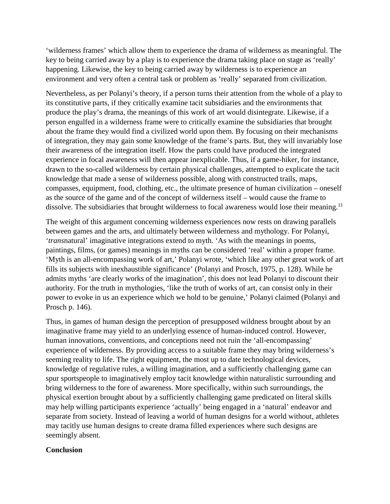'wilderness frames' which allow them to experience the drama of wilderness as meaningful. The key to being carried away by a play is to experience the drama taking place on stage as 'really' happening. Likewise, the key to being carried away by wilderness is to experience an environment and very often a central task or problem as 'really' separated from civilization.

Nevertheless, as per Polanyi's theory, if a person turns their attention from the whole of a play to its constitutive parts, if they critically examine tacit subsidiaries and the environments that produce the play's drama, the meanings of this work of art would disintegrate. Likewise, if a person engulfed in a wilderness frame were to critically examine the subsidiaries that brought about the frame they would find a civilized world upon them. By focusing on their mechanisms of integration, they may gain some knowledge of the frame's parts. But, they will invariably lose their awareness of the integration itself. How the parts could have produced the integrated experience in focal awareness will then appear inexplicable. Thus, if a game-hiker, for instance, drawn to the so-called wilderness by certain physical challenges, attempted to explicate the tacit knowledge that made a sense of wilderness possible, along with constructed trails, maps, compasses, equipment, food, clothing, etc., the ultimate presence of human civilization – oneself as the source of the game and of the concept of wilderness itself – would cause the frame to dissolve. The subsidiaries that brought wilderness to focal awareness would lose their meaning.<sup>11</sup>

The weight of this argument concerning wilderness experiences now rests on drawing parallels between games and the arts, and ultimately between wilderness and mythology. For Polanyi, '*trans*natural' imaginative integrations extend to myth. 'As with the meanings in poems, paintings, films, (or games) meanings in myths can be considered 'real' within a proper frame. 'Myth is an all-encompassing work of art,' Polanyi wrote, 'which like any other great work of art fills its subjects with inexhaustible significance' (Polanyi and Prosch, 1975, p. 128). While he admits myths 'are clearly works of the imagination', this does not lead Polanyi to discount their authority. For the truth in mythologies, 'like the truth of works of art, can consist only in their power to evoke in us an experience which we hold to be genuine,' Polanyi claimed (Polanyi and Prosch p. 146).

Thus, in games of human design the perception of presupposed wildness brought about by an imaginative frame may yield to an underlying essence of human-induced control. However, human innovations, conventions, and conceptions need not ruin the 'all-encompassing' experience of wilderness. By providing access to a suitable frame they may bring wilderness's seeming reality to life. The right equipment, the most up to date technological devices, knowledge of regulative rules, a willing imagination, and a sufficiently challenging game can spur sportspeople to imaginatively employ tacit knowledge within naturalistic surrounding and bring wilderness to the fore of awareness. More specifically, within such surroundings, the physical exertion brought about by a sufficiently challenging game predicated on literal skills may help willing participants experience 'actually' being engaged in a 'natural' endeavor and separate from society. Instead of leaving a world of human designs for a world without, athletes may tacitly use human designs to create drama filled experiences where such designs are seemingly absent.

#### **Conclusion**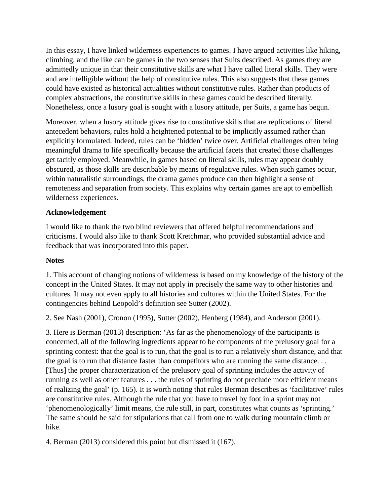In this essay, I have linked wilderness experiences to games. I have argued activities like hiking, climbing, and the like can be games in the two senses that Suits described. As games they are admittedly unique in that their constitutive skills are what I have called literal skills. They were and are intelligible without the help of constitutive rules. This also suggests that these games could have existed as historical actualities without constitutive rules. Rather than products of complex abstractions, the constitutive skills in these games could be described literally. Nonetheless, once a lusory goal is sought with a lusory attitude, per Suits, a game has begun.

Moreover, when a lusory attitude gives rise to constitutive skills that are replications of literal antecedent behaviors, rules hold a heightened potential to be implicitly assumed rather than explicitly formulated. Indeed, rules can be 'hidden' twice over. Artificial challenges often bring meaningful drama to life specifically because the artificial facets that created those challenges get tacitly employed. Meanwhile, in games based on literal skills, rules may appear doubly obscured, as those skills are describable by means of regulative rules. When such games occur, within naturalistic surroundings, the drama games produce can then highlight a sense of remoteness and separation from society. This explains why certain games are apt to embellish wilderness experiences.

### **Acknowledgement**

I would like to thank the two blind reviewers that offered helpful recommendations and criticisms. I would also like to thank Scott Kretchmar, who provided substantial advice and feedback that was incorporated into this paper.

### **Notes**

1. This account of changing notions of wilderness is based on my knowledge of the history of the concept in the United States. It may not apply in precisely the same way to other histories and cultures. It may not even apply to all histories and cultures within the United States. For the contingencies behind Leopold's definition see Sutter (2002).

2. See Nash (2001), Cronon (1995), Sutter (2002), Henberg (1984), and Anderson (2001).

3. Here is Berman (2013) description: 'As far as the phenomenology of the participants is concerned, all of the following ingredients appear to be components of the prelusory goal for a sprinting contest: that the goal is to run, that the goal is to run a relatively short distance, and that the goal is to run that distance faster than competitors who are running the same distance. . . [Thus] the proper characterization of the prelusory goal of sprinting includes the activity of running as well as other features . . . the rules of sprinting do not preclude more efficient means of realizing the goal' (p. 165). It is worth noting that rules Berman describes as 'facilitative' rules are constitutive rules. Although the rule that you have to travel by foot in a sprint may not 'phenomenologically' limit means, the rule still, in part, constitutes what counts as 'sprinting.' The same should be said for stipulations that call from one to walk during mountain climb or hike.

4. Berman (2013) considered this point but dismissed it (167).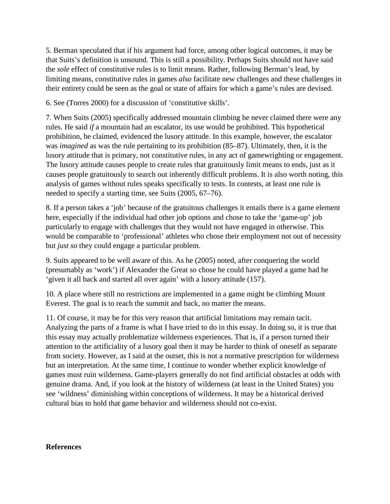5. Berman speculated that if his argument had force, among other logical outcomes, it may be that Suits's definition is unsound. This is still a possibility. Perhaps Suits should not have said the *sole* effect of constitutive rules is to limit means. Rather, following Berman's lead, by limiting means, constitutive rules in games *also* facilitate new challenges and these challenges in their entirety could be seen as the goal or state of affairs for which a game's rules are devised.

6. See (Torres 2000) for a discussion of 'constitutive skills'.

7. When Suits (2005) specifically addressed mountain climbing he never claimed there were any rules. He said *if* a mountain had an escalator, its use would be prohibited. This hypothetical prohibition, he claimed, evidenced the lusory attitude. In this example, however, the escalator was *imagined* as was the rule pertaining to its prohibition (85–87). Ultimately, then, it is the lusory attitude that is primary, not constitutive rules, in any act of gamewrighting or engagement. The lusory attitude causes people to create rules that gratuitously limit means to ends, just as it causes people gratuitously to search out inherently difficult problems. It is also worth noting, this analysis of games without rules speaks specifically to tests. In contests, at least one rule is needed to specify a starting time, see Suits (2005, 67–76).

8. If a person takes a 'job' because of the gratuitous challenges it entails there is a game element here, especially if the individual had other job options and chose to take the 'game-up' job particularly to engage with challenges that they would not have engaged in otherwise. This would be comparable to 'professional' athletes who chose their employment not out of necessity but *just so* they could engage a particular problem.

9. Suits appeared to be well aware of this. As he (2005) noted, after conquering the world (presumably as 'work') if Alexander the Great so chose he could have played a game had he 'given it all back and started all over again' with a lusory attitude (157).

10. A place where still no restrictions are implemented in a game might be climbing Mount Everest. The goal is to reach the summit and back, no matter the means.

11. Of course, it may be for this very reason that artificial limitations may remain tacit. Analyzing the parts of a frame is what I have tried to do in this essay. In doing so, it is true that this essay may actually problematize wilderness experiences. That is, if a person turned their attention to the artificiality of a lusory goal then it may be harder to think of oneself as separate from society. However, as I said at the outset, this is not a normative prescription for wilderness but an interpretation. At the same time, I continue to wonder whether explicit knowledge of games must ruin wilderness. Game-players generally do not find artificial obstacles at odds with genuine drama. And, if you look at the history of wilderness (at least in the United States) you see 'wildness' diminishing within conceptions of wilderness. It may be a historical derived cultural bias to hold that game behavior and wilderness should not co-exist.

#### **References**